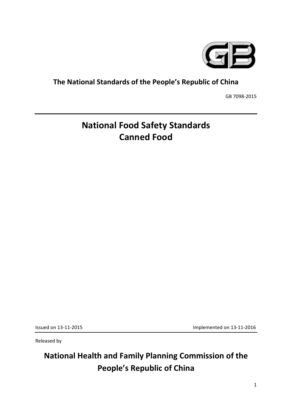

### **The National Standards of the People's Republic of China**

GB 7098-2015

# **National Food Safety Standards Canned Food**

Issued on 13-11-2015

Implemented on 13-11-2016

Released by

# **National Health and Family Planning Commission of the People's Republic of China**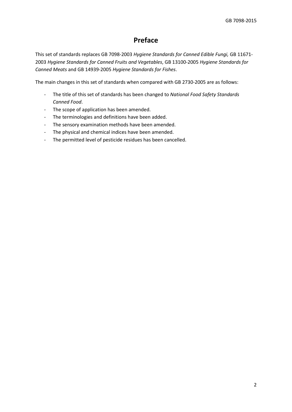### **Preface**

 This set of standards replaces GB 7098-2003 *Hygiene Standards for Canned Edible Fungi,* GB 11671- 2003 *Hygiene Standards for Canned Fruits and Vegetables*, GB 13100-2005 *Hygiene Standards for Canned Meats* and GB 14939-2005 *Hygiene Standards for Fishes*.

The main changes in this set of standards when compared with GB 2730-2005 are as follows:

- - The title of this set of standards has been changed to *National Food Safety Standards Canned Food*.
- The scope of application has been amended.
- The terminologies and definitions have been added.
- The sensory examination methods have been amended.
- The physical and chemical indices have been amended.
- The permitted level of pesticide residues has been cancelled.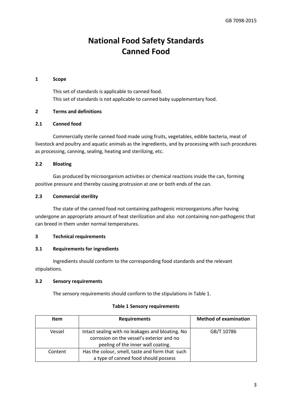## **National Food Safety Standards Canned Food**

#### **1 Scope**

This set of standards is applicable to canned food. This set of standards is not applicable to canned baby supplementary food.

#### **2 Terms and definitions**

#### **2.1 Canned food**

 Commercially sterile canned food made using fruits, vegetables, edible bacteria, meat of livestock and poultry and aquatic animals as the ingredients, and by processing with such procedures as processing, canning, sealing, heating and sterilizing, etc.

#### **2.2 Bloating**

 positive pressure and thereby causing protrusion at one or both ends of the can. Gas produced by microorganism activities or chemical reactions inside the can, forming

#### **2.3 Commercial sterility**

The state of the canned food not containing pathogenic microorganisms after having undergone an appropriate amount of heat sterilization and also not containing non-pathogenic that can breed in them under normal temperatures.

#### **3 Technical requirements**

#### **3.1 Requirements for ingredients**

 Ingredients should conform to the corresponding food standards and the relevant stipulations.

#### **3.2 Sensory requirements**

The sensory requirements should conform to the stipulations in Table 1.

#### **Table 1 Sensory requirements**

| <b>Item</b> | <b>Requirements</b>                                                                                                                 | <b>Method of examination</b> |
|-------------|-------------------------------------------------------------------------------------------------------------------------------------|------------------------------|
| Vessel      | Intact sealing with no leakages and bloating. No<br>corrosion on the vessel's exterior and no<br>peeling of the inner wall coating. | GB/T 10786                   |
| Content     | Has the colour, smell, taste and form that such<br>a type of canned food should possess                                             |                              |